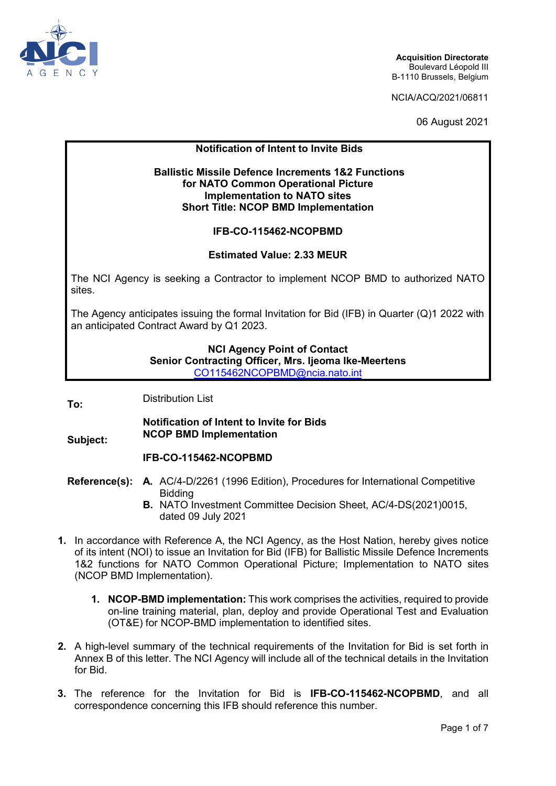

NCIA/ACQ/2021/06811

06 August 2021

## **Notification of Intent to Invite Bids**

### **Ballistic Missile Defence Increments 1&2 Functions for NATO Common Operational Picture Implementation to NATO sites Short Title: NCOP BMD Implementation**

### **IFB-CO-115462-NCOPBMD**

### **Estimated Value: 2.33 MEUR**

The NCI Agency is seeking a Contractor to implement NCOP BMD to authorized NATO sites.

The Agency anticipates issuing the formal Invitation for Bid (IFB) in Quarter (Q)1 2022 with an anticipated Contract Award by Q1 2023.

### **NCI Agency Point of Contact Senior Contracting Officer, Mrs. Ijeoma Ike-Meertens** [CO115462NCOPBMD@ncia.nato.int](mailto:CO115462NCOPBMD@ncia.nato.int)

**To:** Distribution List

### **Notification of Intent to Invite for Bids NCOP BMD Implementation**

**Subject:**

# **IFB-CO-115462-NCOPBMD**

- **Reference(s): A.** AC/4-D/2261 (1996 Edition), Procedures for International Competitive Bidding
	- **B.** NATO Investment Committee Decision Sheet, AC/4-DS(2021)0015, dated 09 July 2021
- **1.** In accordance with Reference A, the NCI Agency, as the Host Nation, hereby gives notice of its intent (NOI) to issue an Invitation for Bid (IFB) for Ballistic Missile Defence Increments 1&2 functions for NATO Common Operational Picture; Implementation to NATO sites (NCOP BMD Implementation).
	- **1. NCOP-BMD implementation:** This work comprises the activities, required to provide on-line training material, plan, deploy and provide Operational Test and Evaluation (OT&E) for NCOP-BMD implementation to identified sites.
- **2.** A high-level summary of the technical requirements of the Invitation for Bid is set forth in Annex B of this letter. The NCI Agency will include all of the technical details in the Invitation for Bid.
- **3.** The reference for the Invitation for Bid is **IFB-CO-115462-NCOPBMD**, and all correspondence concerning this IFB should reference this number.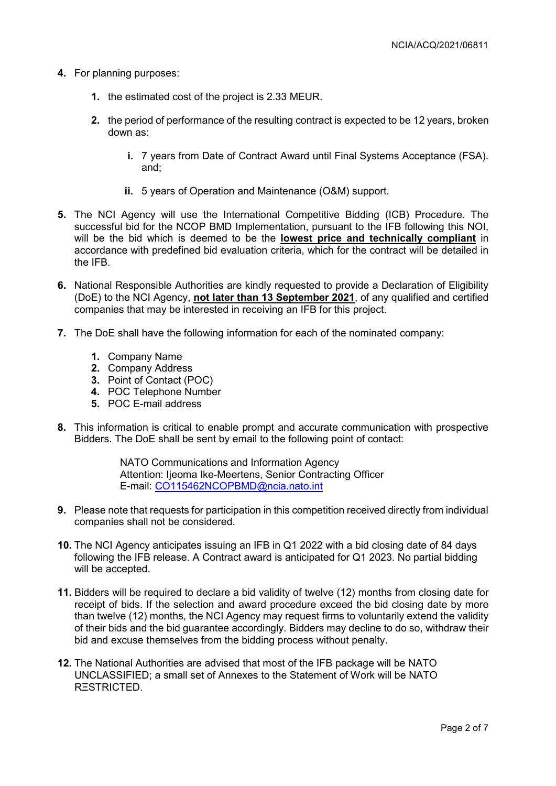- **4.** For planning purposes:
	- **1.** the estimated cost of the project is 2.33 MEUR.
	- **2.** the period of performance of the resulting contract is expected to be 12 years, broken down as:
		- **i.** 7 years from Date of Contract Award until Final Systems Acceptance (FSA). and;
		- **ii.** 5 years of Operation and Maintenance (O&M) support.
- **5.** The NCI Agency will use the International Competitive Bidding (ICB) Procedure. The successful bid for the NCOP BMD Implementation, pursuant to the IFB following this NOI, will be the bid which is deemed to be the **lowest price and technically compliant** in accordance with predefined bid evaluation criteria, which for the contract will be detailed in the IFB.
- **6.** National Responsible Authorities are kindly requested to provide a Declaration of Eligibility (DoE) to the NCI Agency, **not later than 13 September 2021**, of any qualified and certified companies that may be interested in receiving an IFB for this project.
- **7.** The DoE shall have the following information for each of the nominated company:
	- **1.** Company Name
	- **2.** Company Address
	- **3.** Point of Contact (POC)
	- **4.** POC Telephone Number
	- **5.** POC E-mail address
- **8.** This information is critical to enable prompt and accurate communication with prospective Bidders. The DoE shall be sent by email to the following point of contact:

NATO Communications and Information Agency Attention: Ijeoma Ike-Meertens, Senior Contracting Officer E-mail: [CO115462NCOPBMD@ncia.nato.int](mailto:CO115462NCOPBMD@ncia.nato.int)

- **9.** Please note that requests for participation in this competition received directly from individual companies shall not be considered.
- **10.** The NCI Agency anticipates issuing an IFB in Q1 2022 with a bid closing date of 84 days following the IFB release. A Contract award is anticipated for Q1 2023. No partial bidding will be accepted.
- **11.** Bidders will be required to declare a bid validity of twelve (12) months from closing date for receipt of bids. If the selection and award procedure exceed the bid closing date by more than twelve (12) months, the NCI Agency may request firms to voluntarily extend the validity of their bids and the bid guarantee accordingly. Bidders may decline to do so, withdraw their bid and excuse themselves from the bidding process without penalty.
- **12.** The National Authorities are advised that most of the IFB package will be NATO UNCLASSIFIED; a small set of Annexes to the Statement of Work will be NATO RΞSTRICTED.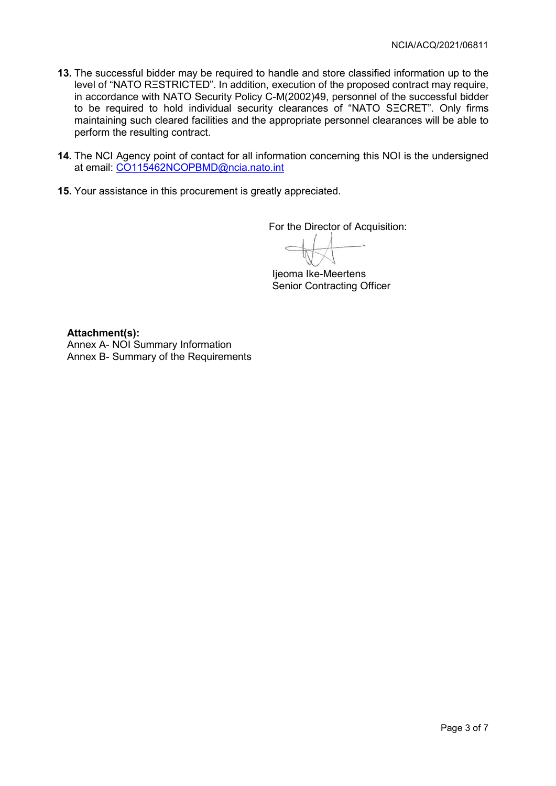- **13.** The successful bidder may be required to handle and store classified information up to the level of "NATO RΞSTRICTED". In addition, execution of the proposed contract may require, in accordance with NATO Security Policy C-M(2002)49, personnel of the successful bidder to be required to hold individual security clearances of "NATO SΞCRET". Only firms maintaining such cleared facilities and the appropriate personnel clearances will be able to perform the resulting contract.
- **14.** The NCI Agency point of contact for all information concerning this NOI is the undersigned at email: [CO115462NCOPBMD@ncia.nato.int](mailto:CO115462NCOPBMD@ncia.nato.int)
- **15.** Your assistance in this procurement is greatly appreciated.

For the Director of Acquisition:

Ijeoma Ike-Meertens Senior Contracting Officer

**Attachment(s):** Annex A- NOI Summary Information Annex B- Summary of the Requirements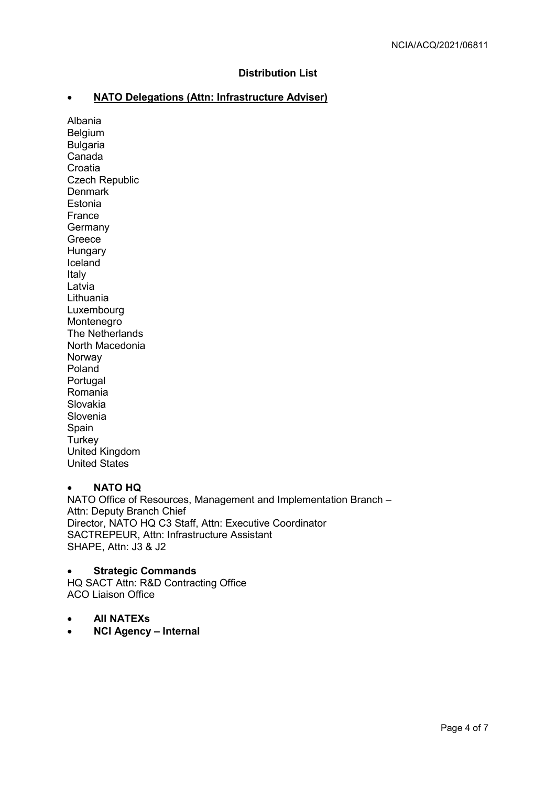## **Distribution List**

# • **NATO Delegations (Attn: Infrastructure Adviser)**

Albania Belgium Bulgaria Canada Croatia Czech Republic **Denmark** Estonia France Germany Greece Hungary **Iceland** Italy Latvia Lithuania Luxembourg Montenegro The Netherlands North Macedonia Norway Poland Portugal Romania Slovakia Slovenia Spain **Turkey** United Kingdom United States

# • **NATO HQ**

NATO Office of Resources, Management and Implementation Branch – Attn: Deputy Branch Chief Director, NATO HQ C3 Staff, Attn: Executive Coordinator SACTREPEUR, Attn: Infrastructure Assistant SHAPE, Attn: J3 & J2

• **Strategic Commands** HQ SACT Attn: R&D Contracting Office ACO Liaison Office

- **All NATEXs**
- **NCI Agency Internal**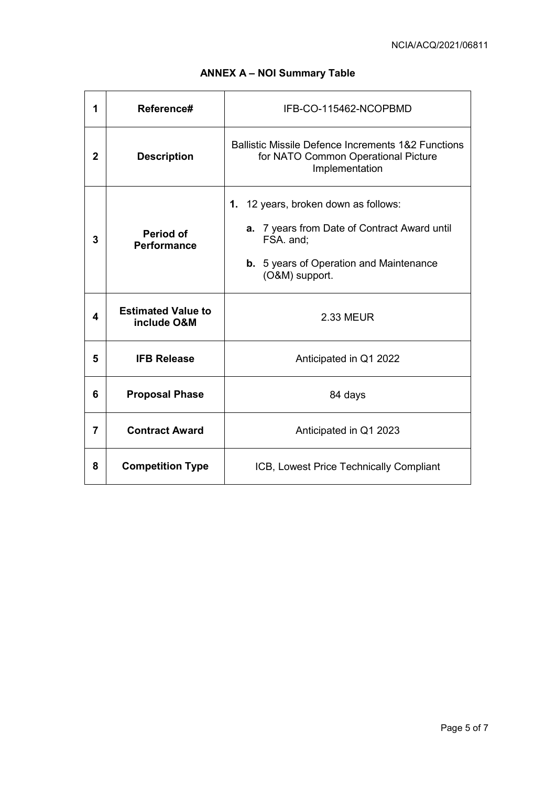| 1            | Reference#                               | IFB-CO-115462-NCOPBMD                                                                                                                                                 |
|--------------|------------------------------------------|-----------------------------------------------------------------------------------------------------------------------------------------------------------------------|
| $\mathbf{2}$ | <b>Description</b>                       | <b>Ballistic Missile Defence Increments 1&amp;2 Functions</b><br>for NATO Common Operational Picture<br>Implementation                                                |
| 3            | Period of<br><b>Performance</b>          | 1. 12 years, broken down as follows:<br>a. 7 years from Date of Contract Award until<br>FSA. and:<br><b>b.</b> 5 years of Operation and Maintenance<br>(O&M) support. |
| 4            | <b>Estimated Value to</b><br>include O&M | <b>2.33 MEUR</b>                                                                                                                                                      |
| 5            | <b>IFB Release</b>                       | Anticipated in Q1 2022                                                                                                                                                |
| 6            | <b>Proposal Phase</b>                    | 84 days                                                                                                                                                               |
| 7            | <b>Contract Award</b>                    | Anticipated in Q1 2023                                                                                                                                                |
| 8            | <b>Competition Type</b>                  | ICB, Lowest Price Technically Compliant                                                                                                                               |

# **ANNEX A – NOI Summary Table**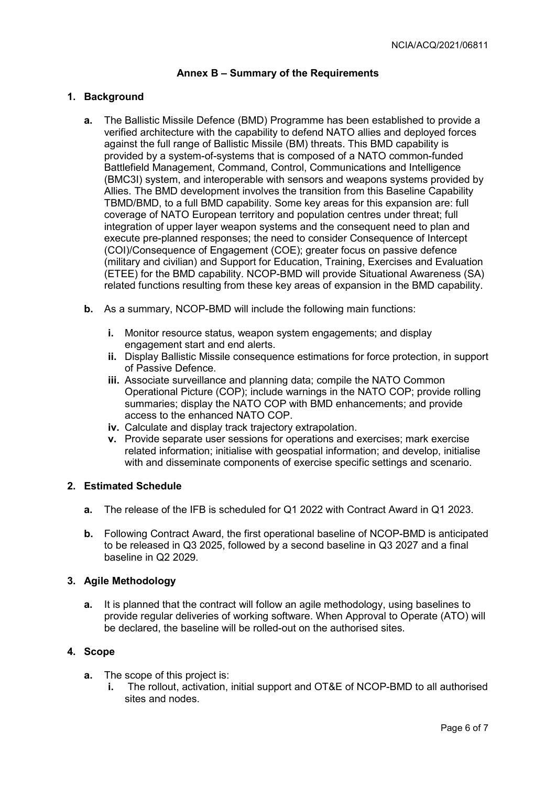### **Annex B – Summary of the Requirements**

### **1. Background**

- **a.** The Ballistic Missile Defence (BMD) Programme has been established to provide a verified architecture with the capability to defend NATO allies and deployed forces against the full range of Ballistic Missile (BM) threats. This BMD capability is provided by a system-of-systems that is composed of a NATO common-funded Battlefield Management, Command, Control, Communications and Intelligence (BMC3I) system, and interoperable with sensors and weapons systems provided by Allies. The BMD development involves the transition from this Baseline Capability TBMD/BMD, to a full BMD capability. Some key areas for this expansion are: full coverage of NATO European territory and population centres under threat; full integration of upper layer weapon systems and the consequent need to plan and execute pre-planned responses; the need to consider Consequence of Intercept (COI)/Consequence of Engagement (COE); greater focus on passive defence (military and civilian) and Support for Education, Training, Exercises and Evaluation (ETEE) for the BMD capability. NCOP-BMD will provide Situational Awareness (SA) related functions resulting from these key areas of expansion in the BMD capability.
- **b.** As a summary, NCOP-BMD will include the following main functions:
	- **i.** Monitor resource status, weapon system engagements; and display engagement start and end alerts.
	- **ii.** Display Ballistic Missile consequence estimations for force protection, in support of Passive Defence.
	- **iii.** Associate surveillance and planning data; compile the NATO Common Operational Picture (COP); include warnings in the NATO COP; provide rolling summaries; display the NATO COP with BMD enhancements; and provide access to the enhanced NATO COP.
	- **iv.** Calculate and display track trajectory extrapolation.
	- **v.** Provide separate user sessions for operations and exercises; mark exercise related information; initialise with geospatial information; and develop, initialise with and disseminate components of exercise specific settings and scenario.

### **2. Estimated Schedule**

- **a.** The release of the IFB is scheduled for Q1 2022 with Contract Award in Q1 2023.
- **b.** Following Contract Award, the first operational baseline of NCOP-BMD is anticipated to be released in Q3 2025, followed by a second baseline in Q3 2027 and a final baseline in Q2 2029.

### **3. Agile Methodology**

**a.** It is planned that the contract will follow an agile methodology, using baselines to provide regular deliveries of working software. When Approval to Operate (ATO) will be declared, the baseline will be rolled-out on the authorised sites.

### **4. Scope**

- **a.** The scope of this project is:
	- **i.** The rollout, activation, initial support and OT&E of NCOP-BMD to all authorised sites and nodes.